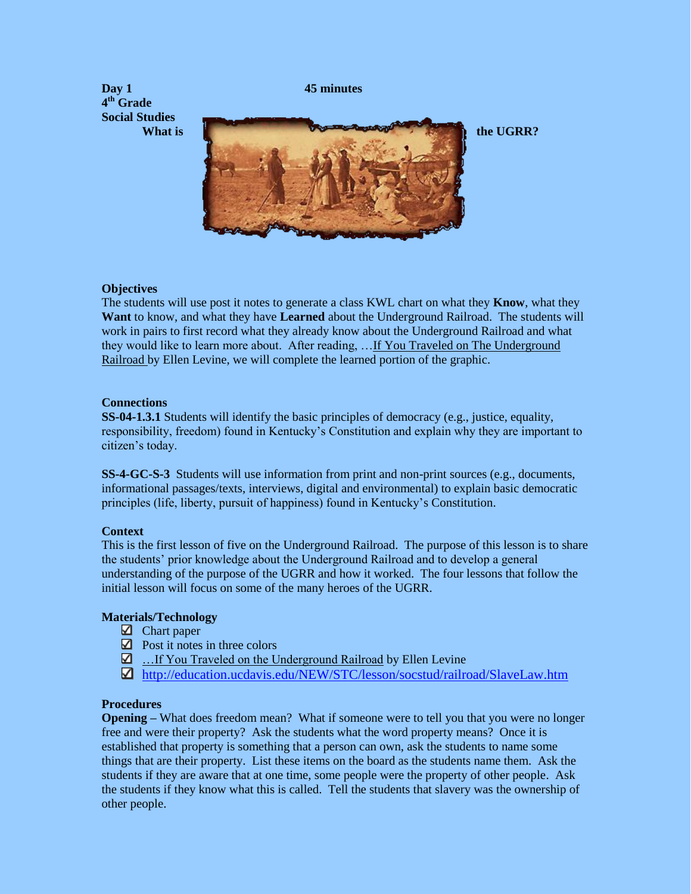

### **Objectives**

The students will use post it notes to generate a class KWL chart on what they **Know**, what they **Want** to know, and what they have **Learned** about the Underground Railroad. The students will work in pairs to first record what they already know about the Underground Railroad and what they would like to learn more about. After reading, …If You Traveled on The Underground Railroad by Ellen Levine, we will complete the learned portion of the graphic.

### **Connections**

**SS-04-1.3.1** Students will identify the basic principles of democracy (e.g., justice, equality, responsibility, freedom) found in Kentucky's Constitution and explain why they are important to citizen's today.

**SS-4-GC-S-3** Students will use information from print and non-print sources (e.g., documents, informational passages/texts, interviews, digital and environmental) to explain basic democratic principles (life, liberty, pursuit of happiness) found in Kentucky's Constitution.

## **Context**

This is the first lesson of five on the Underground Railroad. The purpose of this lesson is to share the students' prior knowledge about the Underground Railroad and to develop a general understanding of the purpose of the UGRR and how it worked. The four lessons that follow the initial lesson will focus on some of the many heroes of the UGRR.

## **Materials/Technology**

- $\Box$  Chart paper
- $\Box$  Post it notes in three colors
- ... If You Traveled on the Underground Railroad by Ellen Levine
- <http://education.ucdavis.edu/NEW/STC/lesson/socstud/railroad/SlaveLaw.htm>

#### **Procedures**

**Opening –** What does freedom mean? What if someone were to tell you that you were no longer free and were their property? Ask the students what the word property means? Once it is established that property is something that a person can own, ask the students to name some things that are their property. List these items on the board as the students name them. Ask the students if they are aware that at one time, some people were the property of other people. Ask the students if they know what this is called. Tell the students that slavery was the ownership of other people.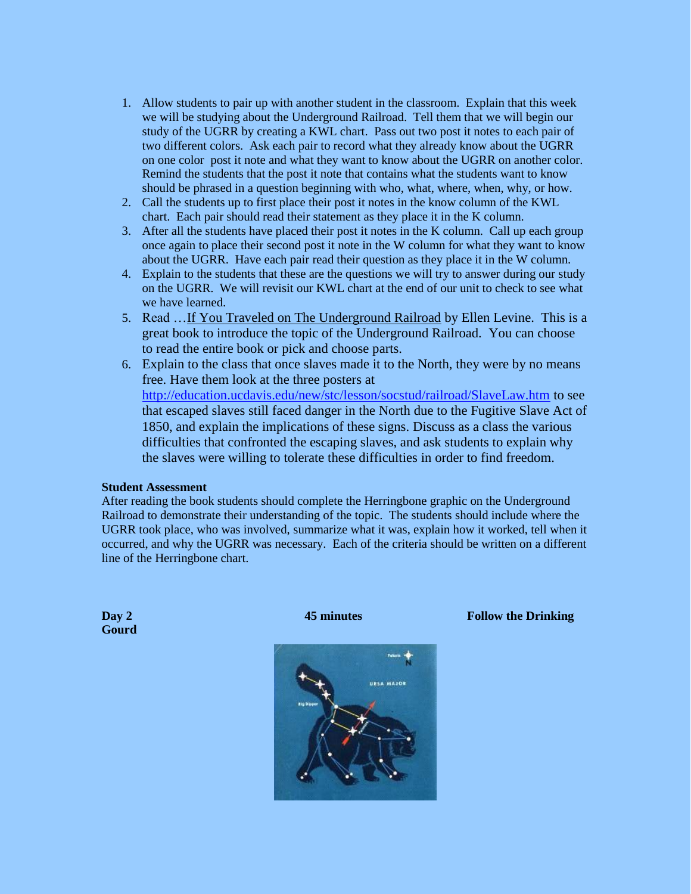- 1. Allow students to pair up with another student in the classroom. Explain that this week we will be studying about the Underground Railroad. Tell them that we will begin our study of the UGRR by creating a KWL chart. Pass out two post it notes to each pair of two different colors. Ask each pair to record what they already know about the UGRR on one color post it note and what they want to know about the UGRR on another color. Remind the students that the post it note that contains what the students want to know should be phrased in a question beginning with who, what, where, when, why, or how.
- 2. Call the students up to first place their post it notes in the know column of the KWL chart. Each pair should read their statement as they place it in the K column.
- 3. After all the students have placed their post it notes in the K column. Call up each group once again to place their second post it note in the W column for what they want to know about the UGRR. Have each pair read their question as they place it in the W column.
- 4. Explain to the students that these are the questions we will try to answer during our study on the UGRR. We will revisit our KWL chart at the end of our unit to check to see what we have learned.
- 5. Read …If You Traveled on The Underground Railroad by Ellen Levine. This is a great book to introduce the topic of the Underground Railroad. You can choose to read the entire book or pick and choose parts.
- 6. Explain to the class that once slaves made it to the North, they were by no means free. Have them look at the three posters at <http://education.ucdavis.edu/new/stc/lesson/socstud/railroad/SlaveLaw.htm> to see that escaped slaves still faced danger in the North due to the Fugitive Slave Act of 1850, and explain the implications of these signs. Discuss as a class the various difficulties that confronted the escaping slaves, and ask students to explain why the slaves were willing to tolerate these difficulties in order to find freedom.

#### **Student Assessment**

After reading the book students should complete the Herringbone graphic on the Underground Railroad to demonstrate their understanding of the topic. The students should include where the UGRR took place, who was involved, summarize what it was, explain how it worked, tell when it occurred, and why the UGRR was necessary. Each of the criteria should be written on a different line of the Herringbone chart.

**Gourd**

**Day 2 45 minutes 45 minutes Follow the Drinking Follow the Drinking** 

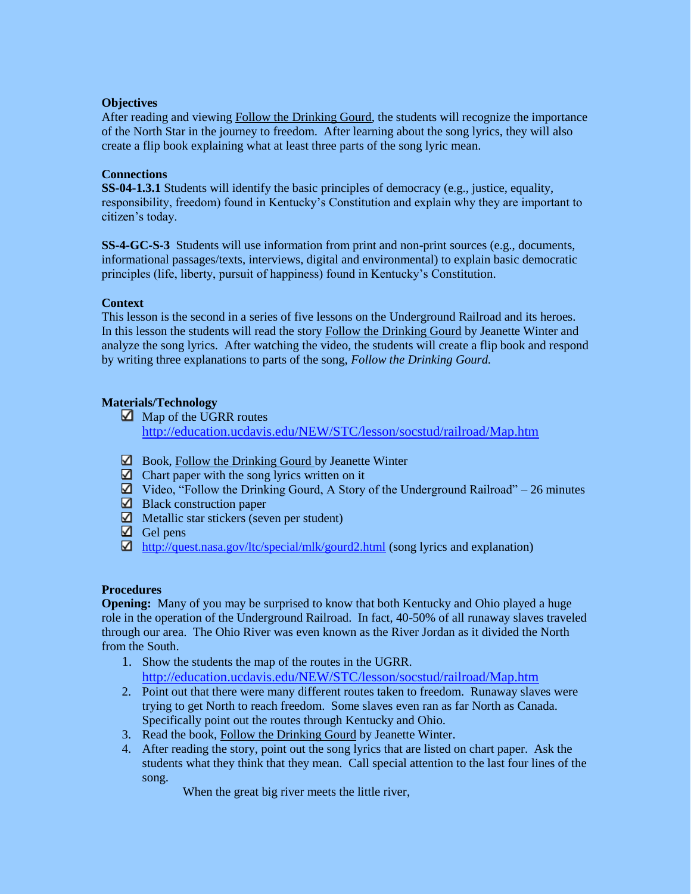## **Objectives**

After reading and viewing Follow the Drinking Gourd, the students will recognize the importance of the North Star in the journey to freedom. After learning about the song lyrics, they will also create a flip book explaining what at least three parts of the song lyric mean.

## **Connections**

**SS-04-1.3.1** Students will identify the basic principles of democracy (e.g., justice, equality, responsibility, freedom) found in Kentucky's Constitution and explain why they are important to citizen's today.

**SS-4-GC-S-3** Students will use information from print and non-print sources (e.g., documents, informational passages/texts, interviews, digital and environmental) to explain basic democratic principles (life, liberty, pursuit of happiness) found in Kentucky's Constitution.

## **Context**

This lesson is the second in a series of five lessons on the Underground Railroad and its heroes. In this lesson the students will read the story Follow the Drinking Gourd by Jeanette Winter and analyze the song lyrics. After watching the video, the students will create a flip book and respond by writing three explanations to parts of the song, *Follow the Drinking Gourd.*

# **Materials/Technology**

- Map of the UGRR routes <http://education.ucdavis.edu/NEW/STC/lesson/socstud/railroad/Map.htm>
- $\Box$  Book, Follow the Drinking Gourd by Jeanette Winter
- $\Box$  Chart paper with the song lyrics written on it
- $\Box$  Video, "Follow the Drinking Gourd, A Story of the Underground Railroad" 26 minutes
- $\Box$  Black construction paper
- $\blacksquare$  Metallic star stickers (seven per student)
- $\Box$  Gel pens
- <http://quest.nasa.gov/ltc/special/mlk/gourd2.html> (song lyrics and explanation)

## **Procedures**

**Opening:** Many of you may be surprised to know that both Kentucky and Ohio played a huge role in the operation of the Underground Railroad. In fact, 40-50% of all runaway slaves traveled through our area. The Ohio River was even known as the River Jordan as it divided the North from the South.

- 1. Show the students the map of the routes in the UGRR. <http://education.ucdavis.edu/NEW/STC/lesson/socstud/railroad/Map.htm>
- 2. Point out that there were many different routes taken to freedom. Runaway slaves were trying to get North to reach freedom. Some slaves even ran as far North as Canada. Specifically point out the routes through Kentucky and Ohio.
- 3. Read the book, Follow the Drinking Gourd by Jeanette Winter.
- 4. After reading the story, point out the song lyrics that are listed on chart paper. Ask the students what they think that they mean. Call special attention to the last four lines of the song.
	- When the great big river meets the little river,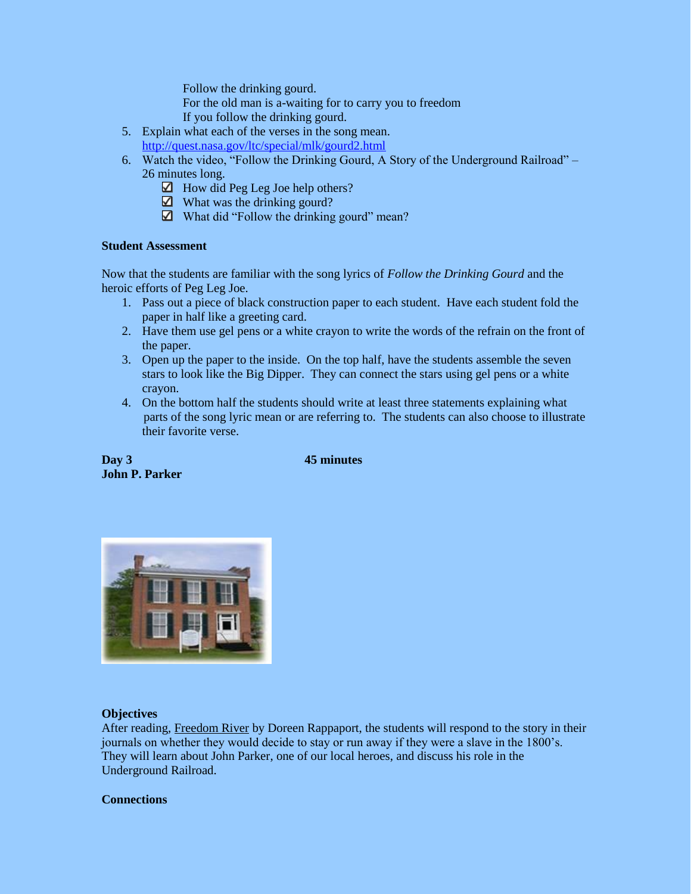Follow the drinking gourd.

For the old man is a-waiting for to carry you to freedom

- If you follow the drinking gourd.
- 5. Explain what each of the verses in the song mean. <http://quest.nasa.gov/ltc/special/mlk/gourd2.html>
- 6. Watch the video, "Follow the Drinking Gourd, A Story of the Underground Railroad" 26 minutes long.
	- $\Box$  How did Peg Leg Joe help others?
	- $\Box$  What was the drinking gourd?
	- $\Box$  What did "Follow the drinking gourd" mean?

## **Student Assessment**

Now that the students are familiar with the song lyrics of *Follow the Drinking Gourd* and the heroic efforts of Peg Leg Joe.

- 1. Pass out a piece of black construction paper to each student. Have each student fold the paper in half like a greeting card.
- 2. Have them use gel pens or a white crayon to write the words of the refrain on the front of the paper.
- 3. Open up the paper to the inside. On the top half, have the students assemble the seven stars to look like the Big Dipper. They can connect the stars using gel pens or a white crayon.
- 4. On the bottom half the students should write at least three statements explaining what parts of the song lyric mean or are referring to. The students can also choose to illustrate their favorite verse.

**Day 3 45 minutes John P. Parker**



## **Objectives**

After reading, Freedom River by Doreen Rappaport, the students will respond to the story in their journals on whether they would decide to stay or run away if they were a slave in the 1800's. They will learn about John Parker, one of our local heroes, and discuss his role in the Underground Railroad.

#### **Connections**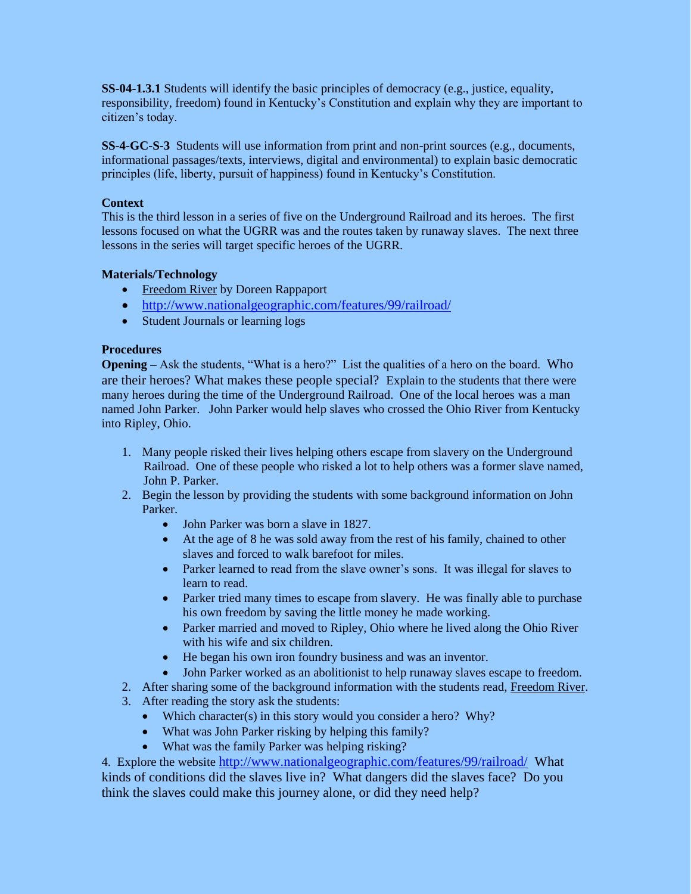**SS-04-1.3.1** Students will identify the basic principles of democracy (e.g., justice, equality, responsibility, freedom) found in Kentucky's Constitution and explain why they are important to citizen's today.

**SS-4-GC-S-3** Students will use information from print and non-print sources (e.g., documents, informational passages/texts, interviews, digital and environmental) to explain basic democratic principles (life, liberty, pursuit of happiness) found in Kentucky's Constitution.

## **Context**

This is the third lesson in a series of five on the Underground Railroad and its heroes. The first lessons focused on what the UGRR was and the routes taken by runaway slaves. The next three lessons in the series will target specific heroes of the UGRR.

# **Materials/Technology**

- Freedom River by Doreen Rappaport
- <http://www.nationalgeographic.com/features/99/railroad/>
- Student Journals or learning logs

# **Procedures**

**Opening** – Ask the students, "What is a hero?" List the qualities of a hero on the board. Who are their heroes? What makes these people special? Explain to the students that there were many heroes during the time of the Underground Railroad. One of the local heroes was a man named John Parker. John Parker would help slaves who crossed the Ohio River from Kentucky into Ripley, Ohio.

- 1. Many people risked their lives helping others escape from slavery on the Underground Railroad. One of these people who risked a lot to help others was a former slave named, John P. Parker.
- 2. Begin the lesson by providing the students with some background information on John Parker.
	- John Parker was born a slave in 1827.
	- At the age of 8 he was sold away from the rest of his family, chained to other slaves and forced to walk barefoot for miles.
	- Parker learned to read from the slave owner's sons. It was illegal for slaves to learn to read.
	- Parker tried many times to escape from slavery. He was finally able to purchase his own freedom by saving the little money he made working.
	- Parker married and moved to Ripley, Ohio where he lived along the Ohio River with his wife and six children.
	- He began his own iron foundry business and was an inventor.
	- John Parker worked as an abolitionist to help runaway slaves escape to freedom.
- 2. After sharing some of the background information with the students read, Freedom River.
- 3. After reading the story ask the students:
	- Which character(s) in this story would you consider a hero? Why?
	- What was John Parker risking by helping this family?
	- What was the family Parker was helping risking?

4. Explore the website <http://www.nationalgeographic.com/features/99/railroad/>What kinds of conditions did the slaves live in? What dangers did the slaves face? Do you think the slaves could make this journey alone, or did they need help?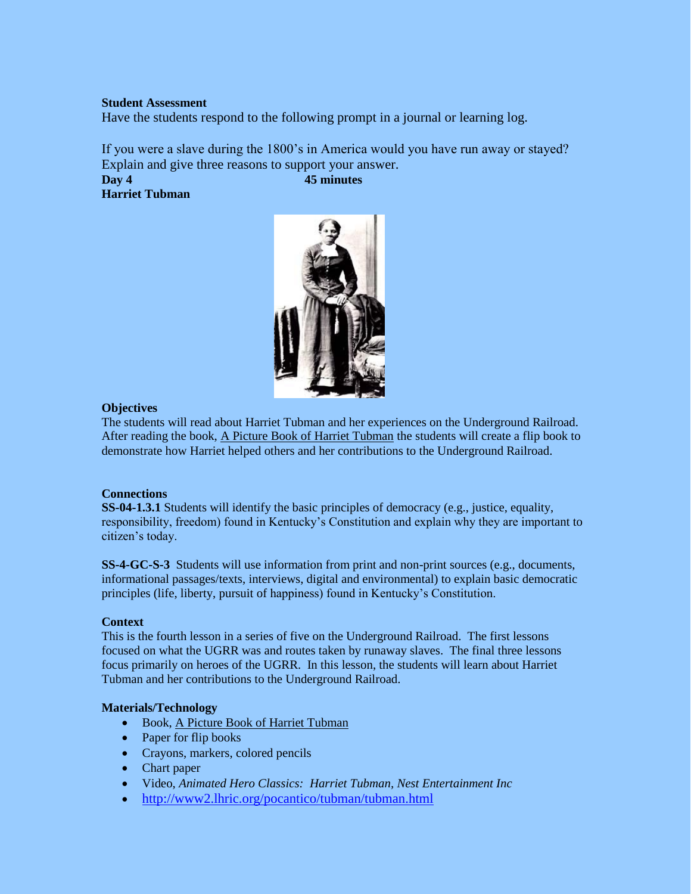### **Student Assessment**

Have the students respond to the following prompt in a journal or learning log.

If you were a slave during the 1800's in America would you have run away or stayed? Explain and give three reasons to support your answer.

**Day 4 45 minutes Harriet Tubman**



## **Objectives**

The students will read about Harriet Tubman and her experiences on the Underground Railroad. After reading the book, A Picture Book of Harriet Tubman the students will create a flip book to demonstrate how Harriet helped others and her contributions to the Underground Railroad.

## **Connections**

**SS-04-1.3.1** Students will identify the basic principles of democracy (e.g., justice, equality, responsibility, freedom) found in Kentucky's Constitution and explain why they are important to citizen's today.

**SS-4-GC-S-3** Students will use information from print and non-print sources (e.g., documents, informational passages/texts, interviews, digital and environmental) to explain basic democratic principles (life, liberty, pursuit of happiness) found in Kentucky's Constitution.

#### **Context**

This is the fourth lesson in a series of five on the Underground Railroad. The first lessons focused on what the UGRR was and routes taken by runaway slaves. The final three lessons focus primarily on heroes of the UGRR. In this lesson, the students will learn about Harriet Tubman and her contributions to the Underground Railroad.

## **Materials/Technology**

- Book, A Picture Book of Harriet Tubman
- Paper for flip books
- Crayons, markers, colored pencils
- Chart paper
- Video, *Animated Hero Classics: Harriet Tubman, Nest Entertainment Inc*
- <http://www2.lhric.org/pocantico/tubman/tubman.html>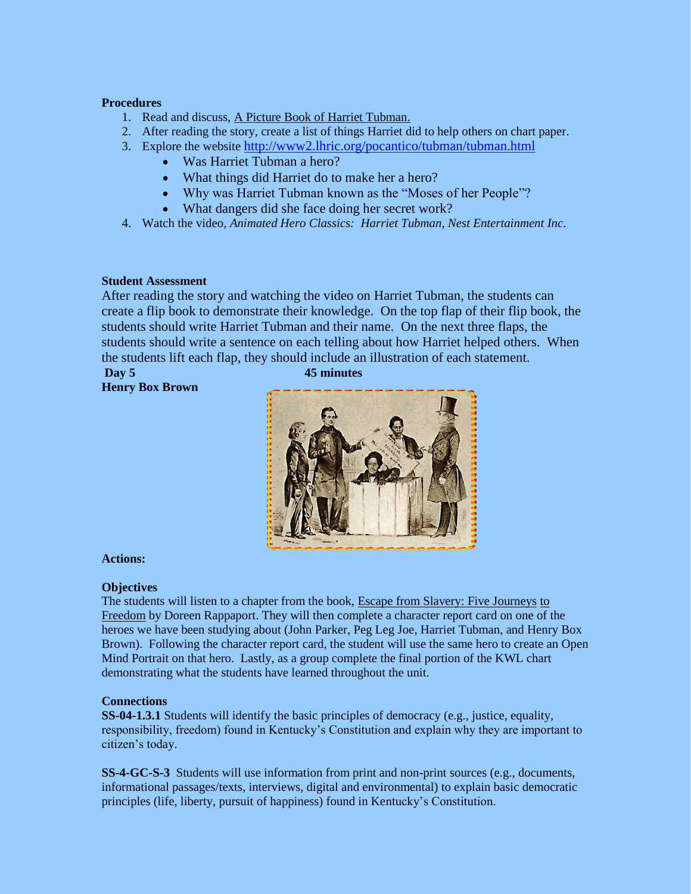### **Procedures**

- 1. Read and discuss, A Picture Book of Harriet Tubman.
- 2. After reading the story, create a list of things Harriet did to help others on chart paper.
- 3. Explore the website <http://www2.lhric.org/pocantico/tubman/tubman.html>
	- Was Harriet Tubman a hero?
	- What things did Harriet do to make her a hero?
	- Why was Harriet Tubman known as the "Moses of her People"?
	- What dangers did she face doing her secret work?
- 4. Watch the video, *Animated Hero Classics: Harriet Tubman, Nest Entertainment Inc*.

### **Student Assessment**

After reading the story and watching the video on Harriet Tubman, the students can create a flip book to demonstrate their knowledge. On the top flap of their flip book, the students should write Harriet Tubman and their name. On the next three flaps, the students should write a sentence on each telling about how Harriet helped others. When the students lift each flap, they should include an illustration of each statement.

**Day 5 45 minutes Henry Box Brown**



**Actions:**

## **Objectives**

The students will listen to a chapter from the book, Escape from Slavery: Five Journeys to Freedom by Doreen Rappaport. They will then complete a character report card on one of the heroes we have been studying about (John Parker, Peg Leg Joe, Harriet Tubman, and Henry Box Brown). Following the character report card, the student will use the same hero to create an Open Mind Portrait on that hero. Lastly, as a group complete the final portion of the KWL chart demonstrating what the students have learned throughout the unit.

### **Connections**

**SS-04-1.3.1** Students will identify the basic principles of democracy (e.g., justice, equality, responsibility, freedom) found in Kentucky's Constitution and explain why they are important to citizen's today.

**SS-4-GC-S-3** Students will use information from print and non-print sources (e.g., documents, informational passages/texts, interviews, digital and environmental) to explain basic democratic principles (life, liberty, pursuit of happiness) found in Kentucky's Constitution.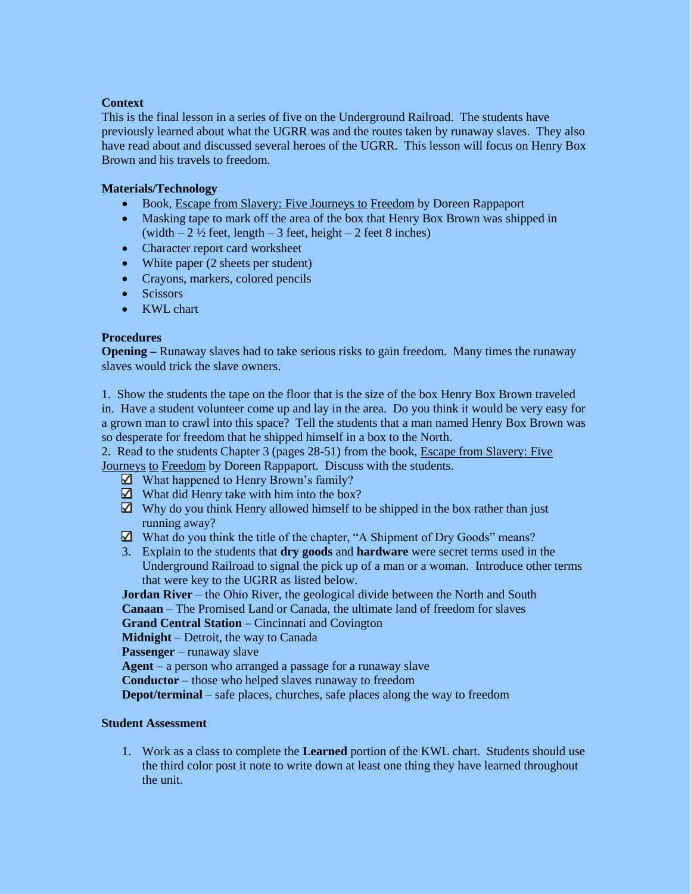## **Context**

This is the final lesson in a series of five on the Underground Railroad. The students have previously learned about what the UGRR was and the routes taken by runaway slaves. They also have read about and discussed several heroes of the UGRR. This lesson will focus on Henry Box Brown and his travels to freedom.

# **Materials/Technology**

- Book, Escape from Slavery: Five Journeys to Freedom by Doreen Rappaport
- Masking tape to mark off the area of the box that Henry Box Brown was shipped in (width  $-2\frac{1}{2}$  feet, length  $-3$  feet, height  $-2$  feet 8 inches)
- Character report card worksheet
- White paper (2 sheets per student)
- Crayons, markers, colored pencils
- Scissors
- KWL chart

## **Procedures**

**Opening** – Runaway slaves had to take serious risks to gain freedom. Many times the runaway slaves would trick the slave owners.

1. Show the students the tape on the floor that is the size of the box Henry Box Brown traveled in. Have a student volunteer come up and lay in the area. Do you think it would be very easy for a grown man to crawl into this space? Tell the students that a man named Henry Box Brown was so desperate for freedom that he shipped himself in a box to the North.

2. Read to the students Chapter 3 (pages 28-51) from the book, Escape from Slavery: Five Journeys to Freedom by Doreen Rappaport. Discuss with the students.

- ⊠ What happened to Henry Brown's family?
- $\Box$  What did Henry take with him into the box?
- $\Box$  Why do you think Henry allowed himself to be shipped in the box rather than just running away?
- What do you think the title of the chapter, "A Shipment of Dry Goods" means?
- 3. Explain to the students that **dry goods** and **hardware** were secret terms used in the Underground Railroad to signal the pick up of a man or a woman. Introduce other terms that were key to the UGRR as listed below.

**Jordan River** – the Ohio River, the geological divide between the North and South **Canaan** – The Promised Land or Canada, the ultimate land of freedom for slaves

**Grand Central Station** – Cincinnati and Covington

**Midnight** – Detroit, the way to Canada

**Passenger** – runaway slave

**Agent** – a person who arranged a passage for a runaway slave

**Conductor** – those who helped slaves runaway to freedom

**Depot/terminal** – safe places, churches, safe places along the way to freedom

## **Student Assessment**

1. Work as a class to complete the **Learned** portion of the KWL chart. Students should use the third color post it note to write down at least one thing they have learned throughout the unit.